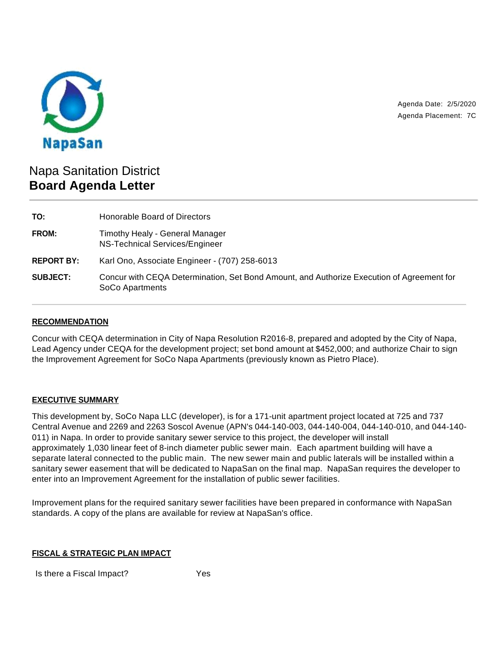

Agenda Date: 2/5/2020 Agenda Placement: 7C

# Napa Sanitation District **Board Agenda Letter**

| TO:               | Honorable Board of Directors                                                                                 |
|-------------------|--------------------------------------------------------------------------------------------------------------|
| FROM:             | Timothy Healy - General Manager<br>NS-Technical Services/Engineer                                            |
| <b>REPORT BY:</b> | Karl Ono, Associate Engineer - (707) 258-6013                                                                |
| <b>SUBJECT:</b>   | Concur with CEQA Determination, Set Bond Amount, and Authorize Execution of Agreement for<br>SoCo Apartments |

## **RECOMMENDATION**

Concur with CEQA determination in City of Napa Resolution R2016-8, prepared and adopted by the City of Napa, Lead Agency under CEQA for the development project; set bond amount at \$452,000; and authorize Chair to sign the Improvement Agreement for SoCo Napa Apartments (previously known as Pietro Place).

### **EXECUTIVE SUMMARY**

This development by, SoCo Napa LLC (developer), is for a 171-unit apartment project located at 725 and 737 Central Avenue and 2269 and 2263 Soscol Avenue (APN's 044-140-003, 044-140-004, 044-140-010, and 044-140- 011) in Napa. In order to provide sanitary sewer service to this project, the developer will install approximately 1,030 linear feet of 8-inch diameter public sewer main. Each apartment building will have a separate lateral connected to the public main. The new sewer main and public laterals will be installed within a sanitary sewer easement that will be dedicated to NapaSan on the final map. NapaSan requires the developer to enter into an Improvement Agreement for the installation of public sewer facilities.

Improvement plans for the required sanitary sewer facilities have been prepared in conformance with NapaSan standards. A copy of the plans are available for review at NapaSan's office.

### **FISCAL & STRATEGIC PLAN IMPACT**

Is there a Fiscal Impact? Yes